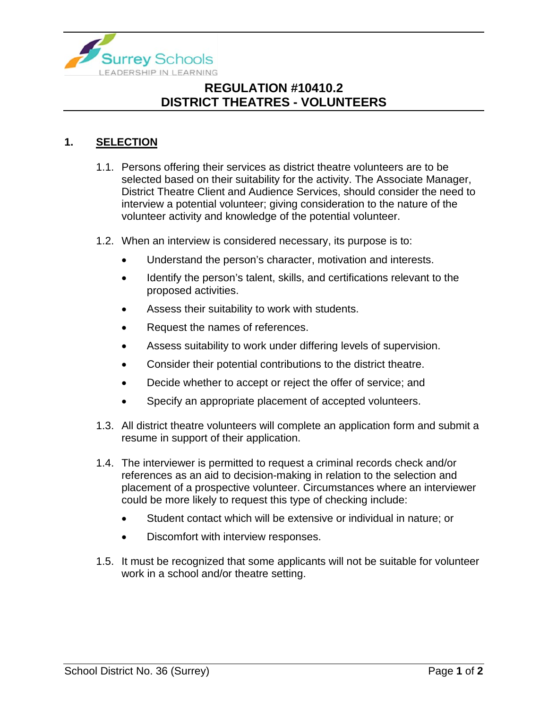

# **REGULATION #10410.2 DISTRICT THEATRES - VOLUNTEERS**

#### **1. SELECTION**

- 1.1. Persons offering their services as district theatre volunteers are to be selected based on their suitability for the activity. The Associate Manager, District Theatre Client and Audience Services, should consider the need to interview a potential volunteer; giving consideration to the nature of the volunteer activity and knowledge of the potential volunteer.
- 1.2. When an interview is considered necessary, its purpose is to:
	- Understand the person's character, motivation and interests.
	- Identify the person's talent, skills, and certifications relevant to the proposed activities.
	- Assess their suitability to work with students.
	- Request the names of references.
	- Assess suitability to work under differing levels of supervision.
	- Consider their potential contributions to the district theatre.
	- Decide whether to accept or reject the offer of service; and
	- Specify an appropriate placement of accepted volunteers.
- 1.3. All district theatre volunteers will complete an application form and submit a resume in support of their application.
- 1.4. The interviewer is permitted to request a criminal records check and/or references as an aid to decision-making in relation to the selection and placement of a prospective volunteer. Circumstances where an interviewer could be more likely to request this type of checking include:
	- Student contact which will be extensive or individual in nature; or
	- Discomfort with interview responses.
- 1.5. It must be recognized that some applicants will not be suitable for volunteer work in a school and/or theatre setting.